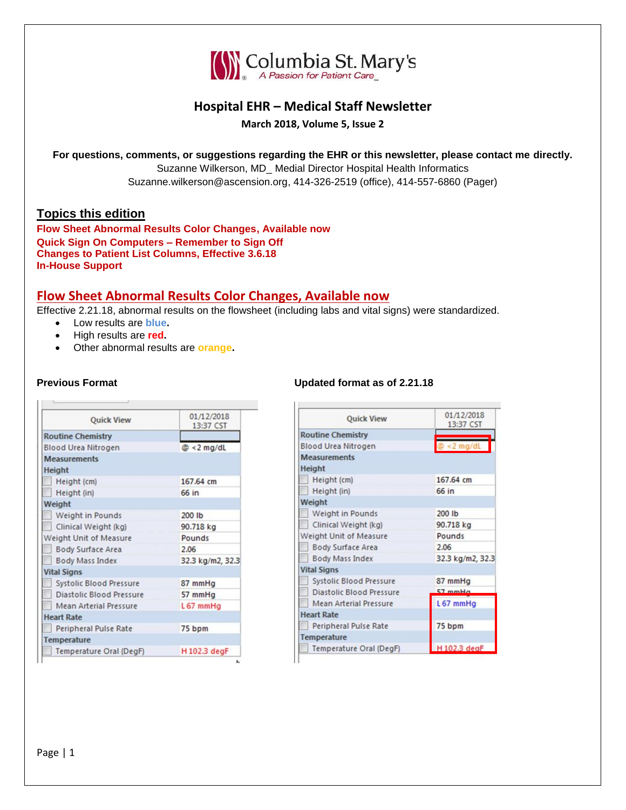

# **Hospital EHR – Medical Staff Newsletter**

**March 2018, Volume 5, Issue 2**

**For questions, comments, or suggestions regarding the EHR or this newsletter, please contact me directly.**

Suzanne Wilkerson, MD\_ Medial Director Hospital Health Informatics Suzanne.wilkerson@ascension.org, 414-326-2519 (office), 414-557-6860 (Pager)

### **Topics this edition**

**Flow Sheet Abnormal Results Color Changes, Available now Quick Sign On Computers – Remember to Sign Off Changes to Patient List Columns, Effective 3.6.18 In-House Support** 

## **Flow Sheet Abnormal Results Color Changes, Available now**

K

Effective 2.21.18, abnormal results on the flowsheet (including labs and vital signs) were standardized.

t in

- Low results are **blue.**
- High results are **red.**
- Other abnormal results are **orange.**

| <b>Quick View</b>               | 01/12/2018<br>13:37 CST |  |  |  |
|---------------------------------|-------------------------|--|--|--|
| <b>Routine Chemistry</b>        |                         |  |  |  |
| Blood Urea Nitrogen             | $@ < 2$ mg/dL           |  |  |  |
| <b>Measurements</b>             |                         |  |  |  |
| Height                          |                         |  |  |  |
| Height (cm)                     | 167.64 cm               |  |  |  |
| Height (in)                     | 66 in                   |  |  |  |
| Weight                          |                         |  |  |  |
| Weight in Pounds                | 200 lb                  |  |  |  |
| Clinical Weight (kg)            | 90.718 kg               |  |  |  |
| Weight Unit of Measure          | Pounds                  |  |  |  |
| Body Surface Area               | 2.06                    |  |  |  |
| <b>Body Mass Index</b>          | 32.3 kg/m2, 32.3        |  |  |  |
| <b>Vital Signs</b>              |                         |  |  |  |
| Systolic Blood Pressure         | 87 mmHg                 |  |  |  |
| <b>Diastolic Blood Pressure</b> | 57 mmHg                 |  |  |  |
| <b>Mean Arterial Pressure</b>   | $L67$ mmHg              |  |  |  |
| <b>Heart Rate</b>               |                         |  |  |  |
| Peripheral Pulse Rate           | 75 bpm                  |  |  |  |
| Temperature                     |                         |  |  |  |
| Temperature Oral (DegF)         | H 102.3 degF            |  |  |  |

#### **Previous Format Updated format as of 2.21.18**

| <b>Quick View</b>               | 01/12/2018<br>13:37 CST |  |  |  |
|---------------------------------|-------------------------|--|--|--|
| <b>Routine Chemistry</b>        |                         |  |  |  |
| <b>Blood Urea Nitrogen</b>      | $\sqrt{2}$ < 2 mg/dL    |  |  |  |
| <b>Measurements</b>             |                         |  |  |  |
| <b>Height</b>                   |                         |  |  |  |
| Height (cm)                     | 167.64 cm               |  |  |  |
| Height (in)                     | 66 in                   |  |  |  |
| Weight                          |                         |  |  |  |
| Weight in Pounds                | 200 lb                  |  |  |  |
| Clinical Weight (kg)            | 90.718 kg               |  |  |  |
| Weight Unit of Measure          | Pounds                  |  |  |  |
| Body Surface Area               | 2.06                    |  |  |  |
| Body Mass Index                 | 32.3 kg/m2, 32.3        |  |  |  |
| <b>Vital Signs</b>              |                         |  |  |  |
| <b>Systolic Blood Pressure</b>  | 87 mmHg                 |  |  |  |
| <b>Diastolic Blood Pressure</b> | $57$ mmH $a$            |  |  |  |
| Mean Arterial Pressure          | L67 mmHg                |  |  |  |
| <b>Heart Rate</b>               |                         |  |  |  |
| Peripheral Pulse Rate           | 75 bpm                  |  |  |  |
| Temperature                     |                         |  |  |  |
| Temperature Oral (DegF)         | H 102.3 deaF            |  |  |  |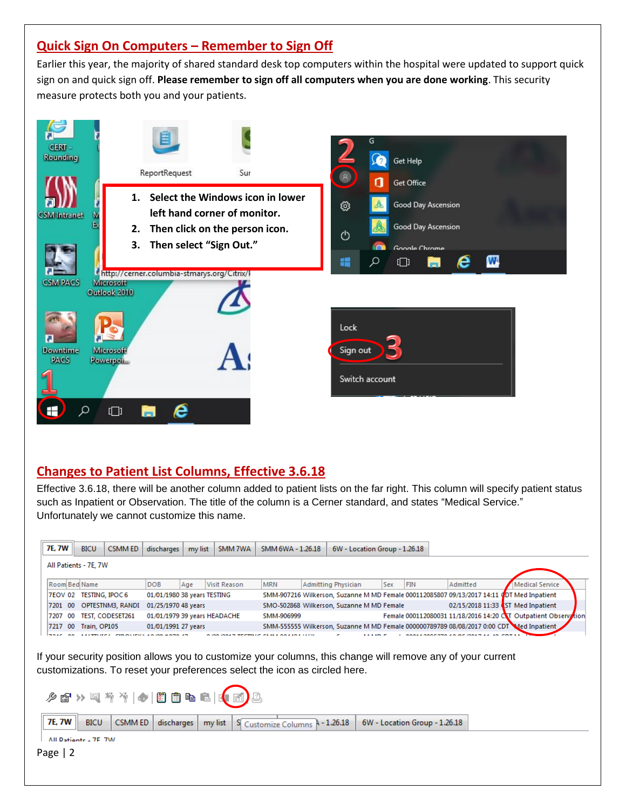# **Quick Sign On Computers – Remember to Sign Off**

Earlier this year, the majority of shared standard desk top computers within the hospital were updated to support quick sign on and quick sign off. **Please remember to sign off all computers when you are done working**. This security measure protects both you and your patients.



# **Changes to Patient List Columns, Effective 3.6.18**

Effective 3.6.18, there will be another column added to patient lists on the far right. This column will specify patient status such as Inpatient or Observation. The title of the column is a Cerner standard, and states "Medical Service." Unfortunately we cannot customize this name.

|                       |                | <b>7E. 7W</b><br><b>BICU</b> |                                                       | <b>CSMM ED</b>          | discharges                   | my list | SMM 7WA      | SMM 6WA - 1.26.18 |  | 6W - Location Group - 1.26.18                                                             |                   |     |                                                                                          |                        |  |
|-----------------------|----------------|------------------------------|-------------------------------------------------------|-------------------------|------------------------------|---------|--------------|-------------------|--|-------------------------------------------------------------------------------------------|-------------------|-----|------------------------------------------------------------------------------------------|------------------------|--|
| All Patients - 7E, 7W |                |                              |                                                       |                         |                              |         |              |                   |  |                                                                                           |                   |     |                                                                                          |                        |  |
|                       |                |                              | Room Bed Name                                         |                         | <b>DOB</b>                   | Age     | Visit Reason | <b>MRN</b>        |  | <b>Admitting Physician</b>                                                                | <b>Sex</b>        | FIN | Admitted                                                                                 | <b>Medical Service</b> |  |
|                       | <b>7EOV 02</b> |                              | <b>TESTING, IPOC 6</b><br>01/01/1980 38 years TESTING |                         |                              |         |              |                   |  | SMM-907216 Wilkerson, Suzanne M MD Female 000112085807 09/13/2017 14:11 0DT Med Inpatient |                   |     |                                                                                          |                        |  |
|                       | 7201 00        |                              |                                                       | OPTESTNM3, RANDI        | 01/25/1970 48 years          |         |              |                   |  | SMO-502868 Wilkerson, Suzanne M MD Female                                                 |                   |     | 02/15/2018 11:33 (ST Med Inpatient                                                       |                        |  |
|                       | 7207           | 00                           |                                                       | <b>TEST, CODESET261</b> | 01/01/1979 39 years HEADACHE |         |              | SMM-906999        |  |                                                                                           |                   |     | Female 000112080031 11/18/2016 14:20 CT Outpatient Observation                           |                        |  |
|                       | 7217           | 00                           | Train, OP105                                          |                         | 01/01/1991 27 years          |         |              |                   |  |                                                                                           |                   |     | SMM-555555 Wilkerson, Suzanne M MD Female 000000789789 08/08/2017 0:00 CDT Med Inpatient |                        |  |
|                       |                |                              |                                                       |                         |                              |         |              |                   |  | $\overline{\phantom{a}}$                                                                  | $1.1.17 \times T$ |     | COOFFICIAL INFIDENTIAL IN COTAL                                                          |                        |  |

If your security position allows you to customize your columns, this change will remove any of your current customizations. To reset your preferences select the icon as circled here.